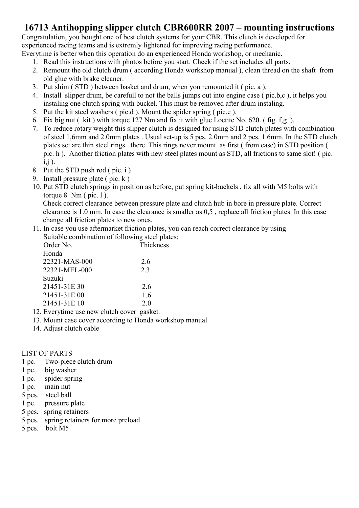#### 16713 Antihopping slipper clutch CBR600RR 2007 – mounting instructions

Congratulation, you bought one of best clutch systems for your CBR. This clutch is developed for experienced racing teams and is extremly lightened for improving racing performance. Everytime is better when this operation do an experienced Honda workshop, or mechanic.

- 1. Read this instructions with photos before you start. Check if the set includes all parts.
- 2. Remount the old clutch drum ( according Honda workshop manual ), clean thread on the shaft from old glue with brake cleaner.
- 3. Put shim ( STD ) between basket and drum, when you remounted it ( pic. a ).
- 4. Install slipper drum, be carefull to not the balls jumps out into engine case ( pic.b,c ), it helps you instaling one clutch spring with buckel. This must be removed after drum instaling.
- 5. Put the kit steel washers ( pic.d ). Mount the spider spring ( pic.e ).
- 6. Fix big nut ( kit ) with torque 127 Nm and fix it with glue Loctite No. 620. ( fig. f,g ).
- 7. To reduce rotary weight this slipper clutch is designed for using STD clutch plates with combination of steel 1,6mm and 2.0mm plates . Usual set-up is 5 pcs. 2.0mm and 2 pcs. 1.6mm. In the STD clutch plates set are thin steel rings there. This rings never mount as first ( from case) in STD position ( pic. h ). Another friction plates with new steel plates mount as STD, all frictions to same slot! ( pic.  $i,j$ ).
- 8. Put the STD push rod ( pic. i )
- 9. Install pressure plate ( pic. k )
- 10. Put STD clutch springs in position as before, put spring kit-buckels , fix all with M5 bolts with torque  $8 \text{ Nm}$  ( pic. 1).

Check correct clearance between pressure plate and clutch hub in bore in pressure plate. Correct clearance is 1.0 mm. In case the clearance is smaller as 0,5 , replace all friction plates. In this case change all friction plates to new ones.

11. In case you use aftermarket friction plates, you can reach correct clearance by using Suitable combination of following steel plates:

| Order No.     | <b>Thickness</b> |
|---------------|------------------|
| Honda         |                  |
| 22321-MAS-000 | 2.6              |
| 22321-MEL-000 | 2.3              |
| Suzuki        |                  |
| 21451-31E 30  | 2.6              |
| 21451-31E 00  | 1.6              |
| 21451-31E 10  | 20               |

- 12. Everytime use new clutch cover gasket.
- 13. Mount case cover according to Honda workshop manual.
- 14. Adjust clutch cable

#### LIST OF PARTS

- 1 pc. Two-piece clutch drum
- 1 pc. big washer
- 1 pc. spider spring
- 1 pc. main nut
- 5 pcs. steel ball
- 1 pc. pressure plate
- 5 pcs. spring retainers
- 5.pcs. spring retainers for more preload
- 5 pcs. bolt M5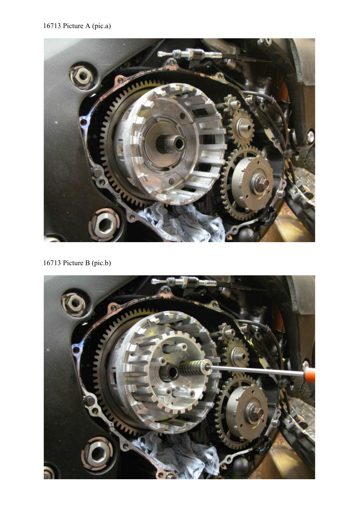#### 16713 Picture A (pic.a)



16713 Picture B (pic.b)

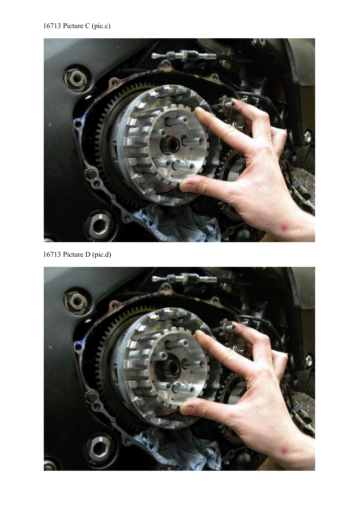## 16713 Picture C (pic.c)



16713 Picture D (pic.d)

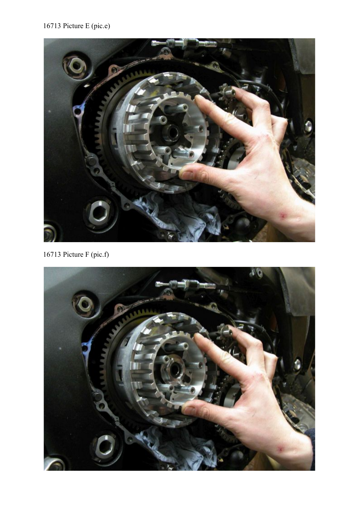## 16713 Picture E (pic.e)



16713 Picture F (pic.f)

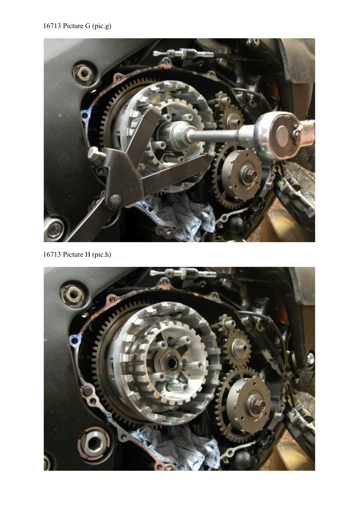# 16713 Picture G (pic.g)



16713 Picture H (pic.h)

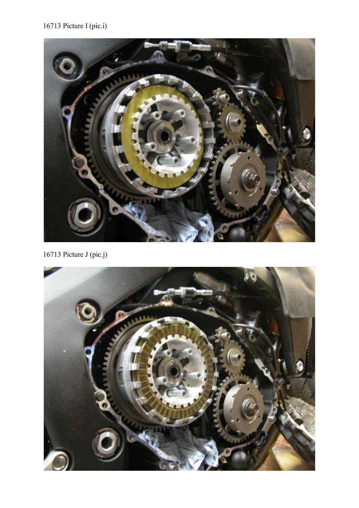## 16713 Picture I (pic.i)



16713 Picture J (pic.j)